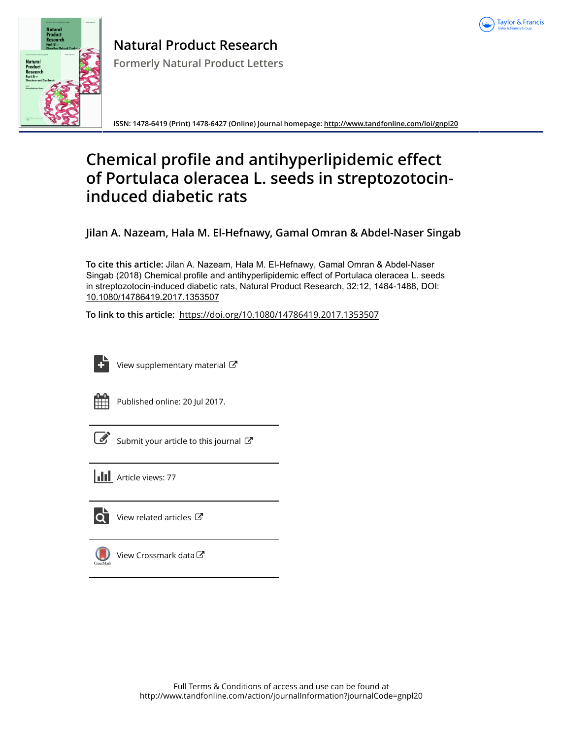



**Natural Product Research Formerly Natural Product Letters**

**ISSN: 1478-6419 (Print) 1478-6427 (Online) Journal homepage:<http://www.tandfonline.com/loi/gnpl20>**

# **Chemical profile and antihyperlipidemic effect of Portulaca oleracea L. seeds in streptozotocininduced diabetic rats**

**Jilan A. Nazeam, Hala M. El-Hefnawy, Gamal Omran & Abdel-Naser Singab**

**To cite this article:** Jilan A. Nazeam, Hala M. El-Hefnawy, Gamal Omran & Abdel-Naser Singab (2018) Chemical profile and antihyperlipidemic effect of Portulaca oleracea L. seeds in streptozotocin-induced diabetic rats, Natural Product Research, 32:12, 1484-1488, DOI: [10.1080/14786419.2017.1353507](http://www.tandfonline.com/action/showCitFormats?doi=10.1080/14786419.2017.1353507)

**To link to this article:** <https://doi.org/10.1080/14786419.2017.1353507>

| _____  |
|--------|
|        |
|        |
| -<br>- |
|        |

[View supplementary material](http://www.tandfonline.com/doi/suppl/10.1080/14786419.2017.1353507)  $\mathbb{Z}$ 



Published online: 20 Jul 2017.

[Submit your article to this journal](http://www.tandfonline.com/action/authorSubmission?journalCode=gnpl20&show=instructions)  $\mathbb{Z}$ 





[View related articles](http://www.tandfonline.com/doi/mlt/10.1080/14786419.2017.1353507)  $\mathbb{Z}$ 



[View Crossmark data](http://crossmark.crossref.org/dialog/?doi=10.1080/14786419.2017.1353507&domain=pdf&date_stamp=2017-07-20)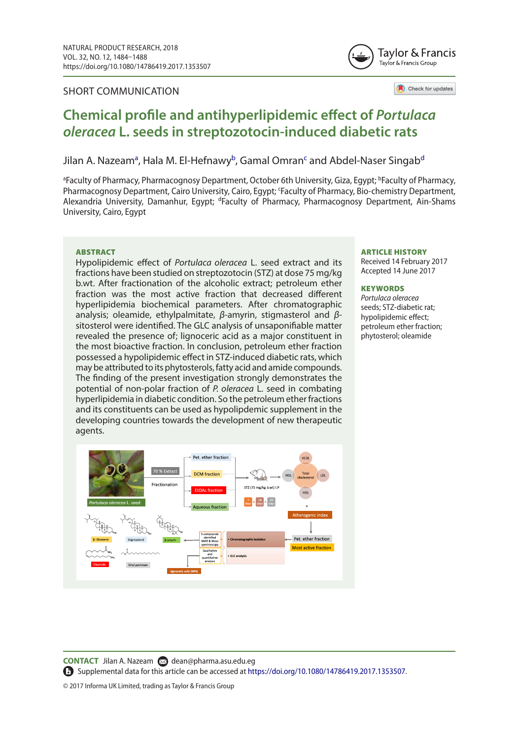#### SHORT COMMUNICATION



Check for updates

## **Chemical profile and antihyperlipidemic effect of** *Portulaca oleracea* **L. seeds in streptozotocin-induced diabetic rats**

#### Jilan A. Nazeam<sup>a</sup>, Hala M. El-Hefnawy<sup>b</sup>, Ga[ma](#page-1-0)l Omran<sup>[c](#page-1-2)</sup> an[d](#page-1-3) Abdel-Naser Singab<sup>d</sup>

<span id="page-1-3"></span><span id="page-1-2"></span><span id="page-1-1"></span><span id="page-1-0"></span><sup>a</sup>Faculty of Pharmacy, Pharmacognosy Department, October 6th University, Giza, Egypt; <sup>b</sup>Faculty of Pharmacy, Pharmacognosy Department, Cairo University, Cairo, Egypt; 'Faculty of Pharmacy, Bio-chemistry Department, Alexandria University, Damanhur, Egypt; <sup>d</sup>Faculty of Pharmacy, Pharmacognosy Department, Ain-Shams University, Cairo, Egypt

#### **ARSTRACT**

Hypolipidemic effect of *Portulaca oleracea* L. seed extract and its fractions have been studied on streptozotocin (STZ) at dose 75 mg/kg b.wt. After fractionation of the alcoholic extract; petroleum ether fraction was the most active fraction that decreased different hyperlipidemia biochemical parameters. After chromatographic analysis; oleamide, ethylpalmitate, *β*-amyrin, stigmasterol and *β*sitosterol were identified. The GLC analysis of unsaponifiable matter revealed the presence of; lignoceric acid as a major constituent in the most bioactive fraction. In conclusion, petroleum ether fraction possessed a hypolipidemic effect in STZ-induced diabetic rats, which may be attributed to its phytosterols, fatty acid and amide compounds. The finding of the present investigation strongly demonstrates the potential of non-polar fraction of *P. oleracea* L. seed in combating hyperlipidemia in diabetic condition. So the petroleum ether fractions and its constituents can be used as hypolipdemic supplement in the developing countries towards the development of new therapeutic agents.



#### ARTICLE HISTORY

Received 14 February 2017 Accepted 14 June 2017

#### **KEYWORDS**

*Portulaca oleracea* seeds; STZ-diabetic rat; hypolipidemic effect; petroleum ether fraction; phytosterol; oleamide

**CONTACT** Jilan A. Nazeam a [dean@pharma.asu.edu.eg](mailto: dean@pharma.asu.edu.eg)

Supplemental data for this article can be accessed at <https://doi.org/10.1080/14786419.2017.1353507>.

© 2017 Informa UK Limited, trading as Taylor & Francis Group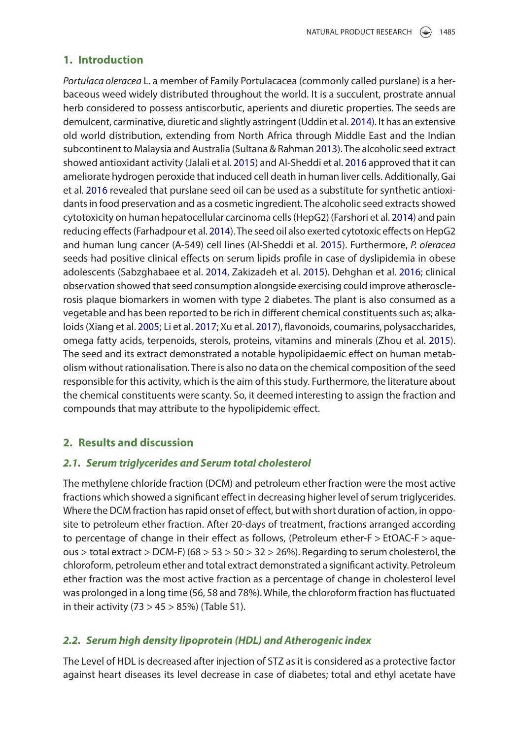#### **1. Introduction**

<span id="page-2-10"></span><span id="page-2-9"></span><span id="page-2-6"></span><span id="page-2-5"></span><span id="page-2-4"></span><span id="page-2-3"></span><span id="page-2-1"></span><span id="page-2-0"></span>*Portulaca oleracea* L. a member of Family Portulacacea (commonly called purslane) is a herbaceous weed widely distributed throughout the world. It is a succulent, prostrate annual herb considered to possess antiscorbutic, aperients and diuretic properties. The seeds are demulcent, carminative, diuretic and slightly astringent (Uddin et al. [2014](#page-5-0)). It has an extensive old world distribution, extending from North Africa through Middle East and the Indian subcontinent to Malaysia and Australia (Sultana & Rahman [2013\)](#page-4-0). The alcoholic seed extract showed antioxidant activity (Jalali et al. [2015\)](#page-4-1) and Al-Sheddi et al. [2016](#page-4-2) approved that it can ameliorate hydrogen peroxide that induced cell death in human liver cells. Additionally, Gai et al. [2016](#page-4-3) revealed that purslane seed oil can be used as a substitute for synthetic antioxidants in food preservation and as a cosmetic ingredient. The alcoholic seed extracts showed cytotoxicity on human hepatocellular carcinoma cells (HepG2) (Farshori et al. [2014\)](#page-4-4) and pain reducing effects (Farhadpour et al. [2014](#page-4-5)). The seed oil also exerted cytotoxic effects on HepG2 and human lung cancer (A-549) cell lines (Al-Sheddi et al. [2015](#page-4-6)). Furthermore, *P. oleracea* seeds had positive clinical effects on serum lipids profile in case of dyslipidemia in obese adolescents (Sabzghabaee et al. [2014](#page-4-7), Zakizadeh et al. [2015\)](#page-5-1). Dehghan et al. [2016;](#page-4-8) clinical observation showed that seed consumption alongside exercising could improve atherosclerosis plaque biomarkers in women with type 2 diabetes. The plant is also consumed as a vegetable and has been reported to be rich in different chemical constituents such as; alkaloids (Xiang et al. [2005;](#page-5-2) Li et al. [2017;](#page-4-9) Xu et al. [2017\)](#page-5-3), flavonoids, coumarins, polysaccharides, omega fatty acids, terpenoids, sterols, proteins, vitamins and minerals (Zhou et al. [2015](#page-5-4)). The seed and its extract demonstrated a notable hypolipidaemic effect on human metabolism without rationalisation. There is also no data on the chemical composition of the seed responsible for this activity, which is the aim of this study. Furthermore, the literature about the chemical constituents were scanty. So, it deemed interesting to assign the fraction and compounds that may attribute to the hypolipidemic effect.

#### <span id="page-2-14"></span><span id="page-2-13"></span><span id="page-2-12"></span><span id="page-2-11"></span><span id="page-2-8"></span><span id="page-2-7"></span><span id="page-2-2"></span>**2. Results and discussion**

#### *2.1. Serum triglycerides and Serum total cholesterol*

The methylene chloride fraction (DCM) and petroleum ether fraction were the most active fractions which showed a significant effect in decreasing higher level of serum triglycerides. Where the DCM fraction has rapid onset of effect, but with short duration of action, in opposite to petroleum ether fraction. After 20-days of treatment, fractions arranged according to percentage of change in their effect as follows, (Petroleum ether-F > EtOAC-F > aqueous > total extract > DCM-F) ( $68 > 53 > 50 > 32 > 26$ %). Regarding to serum cholesterol, the chloroform, petroleum ether and total extract demonstrated a significant activity. Petroleum ether fraction was the most active fraction as a percentage of change in cholesterol level was prolonged in a long time (56, 58 and 78%). While, the chloroform fraction has fluctuated in their activity (73  $>$  45  $>$  85%) (Table S1).

#### *2.2. Serum high density lipoprotein (HDL) and Atherogenic index*

The Level of HDL is decreased after injection of STZ as it is considered as a protective factor against heart diseases its level decrease in case of diabetes; total and ethyl acetate have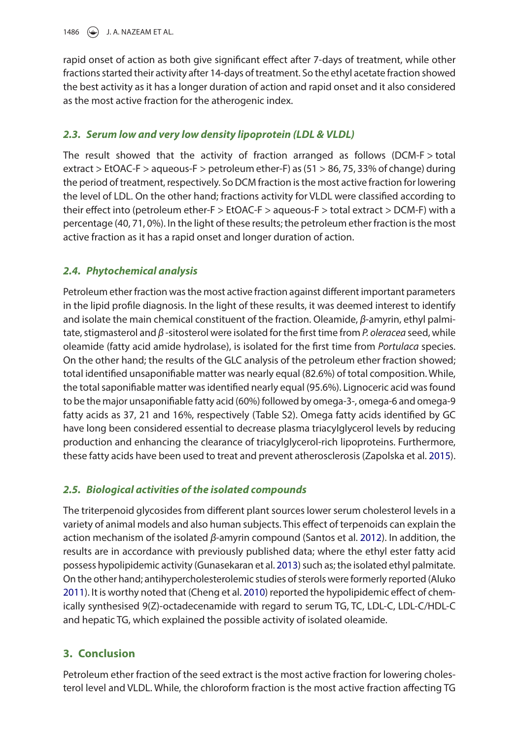1486  $\left(\rightarrow\right)$  J. A. NAZEAM ET AL.

rapid onset of action as both give significant effect after 7-days of treatment, while other fractions started their activity after 14-days of treatment. So the ethyl acetate fraction showed the best activity as it has a longer duration of action and rapid onset and it also considered as the most active fraction for the atherogenic index.

### *2.3. Serum low and very low density lipoprotein (LDL & VLDL)*

The result showed that the activity of fraction arranged as follows (DCM-F > total extract > EtOAC-F > aqueous-F > petroleum ether-F) as (51 > 86, 75, 33% of change) during the period of treatment, respectively. So DCM fraction is the most active fraction for lowering the level of LDL. On the other hand; fractions activity for VLDL were classified according to their effect into (petroleum ether-F > EtOAC-F > aqueous-F > total extract > DCM-F) with a percentage (40, 71, 0%). In the light of these results; the petroleum ether fraction is the most active fraction as it has a rapid onset and longer duration of action.

## *2.4. Phytochemical analysis*

Petroleum ether fraction was the most active fraction against different important parameters in the lipid profile diagnosis. In the light of these results, it was deemed interest to identify and isolate the main chemical constituent of the fraction. Oleamide, *β*-amyrin, ethyl palmitate, stigmasterol and *β* -sitosterol were isolated for the first time from *P. oleracea* seed, while oleamide (fatty acid amide hydrolase), is isolated for the first time from *Portulaca* species. On the other hand; the results of the GLC analysis of the petroleum ether fraction showed; total identified unsaponifiable matter was nearly equal (82.6%) of total composition. While, the total saponifiable matter was identified nearly equal (95.6%). Lignoceric acid was found to be the major unsaponifiable fatty acid (60%) followed by omega-3-, omega-6 and omega-9 fatty acids as 37, 21 and 16%, respectively (Table S2). Omega fatty acids identified by GC have long been considered essential to decrease plasma triacylglycerol levels by reducing production and enhancing the clearance of triacylglycerol-rich lipoproteins. Furthermore, these fatty acids have been used to treat and prevent atherosclerosis (Zapolska et al. [2015](#page-5-5)).

## <span id="page-3-4"></span>*2.5. Biological activities of the isolated compounds*

<span id="page-3-3"></span><span id="page-3-2"></span>The triterpenoid glycosides from different plant sources lower serum cholesterol levels in a variety of animal models and also human subjects. This effect of terpenoids can explain the action mechanism of the isolated *β*-amyrin compound (Santos et al. [2012\)](#page-4-10). In addition, the results are in accordance with previously published data; where the ethyl ester fatty acid possess hypolipidemic activity (Gunasekaran et al. [2013](#page-4-11)) such as; the isolated ethyl palmitate. On the other hand; antihypercholesterolemic studies of sterols were formerly reported (Aluko [2011](#page-4-12)). It is worthy noted that (Cheng et al. [2010](#page-4-13)) reported the hypolipidemic effect of chemically synthesised 9(Z)-octadecenamide with regard to serum TG, TC, LDL-C, LDL-C/HDL-C and hepatic TG, which explained the possible activity of isolated oleamide.

## <span id="page-3-1"></span><span id="page-3-0"></span>**3. Conclusion**

Petroleum ether fraction of the seed extract is the most active fraction for lowering cholesterol level and VLDL. While, the chloroform fraction is the most active fraction affecting TG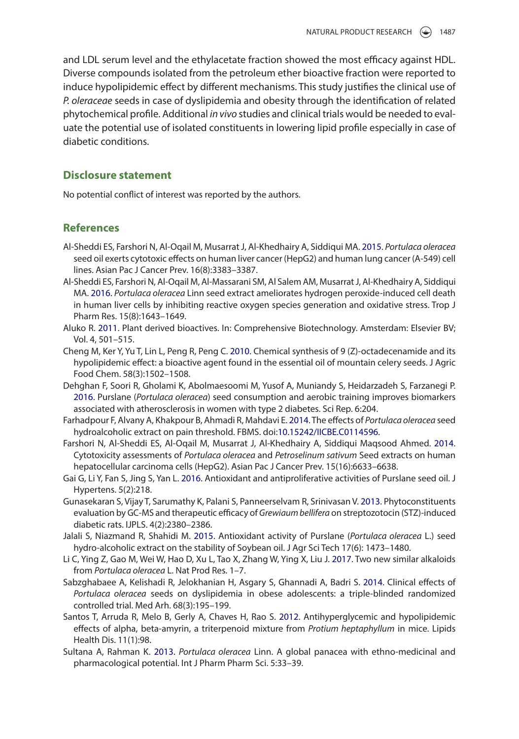and LDL serum level and the ethylacetate fraction showed the most efficacy against HDL. Diverse compounds isolated from the petroleum ether bioactive fraction were reported to induce hypolipidemic effect by different mechanisms. This study justifies the clinical use of *P. oleraceae* seeds in case of dyslipidemia and obesity through the identification of related phytochemical profile. Additional *in vivo* studies and clinical trials would be needed to evaluate the potential use of isolated constituents in lowering lipid profile especially in case of diabetic conditions.

#### **Disclosure statement**

No potential conflict of interest was reported by the authors.

#### **References**

- <span id="page-4-6"></span>Al-Sheddi ES, Farshori N, Al-Oqail M, Musarrat J, Al-Khedhairy A, Siddiqui MA. [2015.](#page-2-0) *Portulaca oleracea* seed oil exerts cytotoxic effects on human liver cancer (HepG2) and human lung cancer (A-549) cell lines. Asian Pac J Cancer Prev. 16(8):3383–3387.
- <span id="page-4-2"></span>Al-Sheddi ES, Farshori N, Al-Oqail M, Al-Massarani SM, Al Salem AM, Musarrat J, Al-Khedhairy A, Siddiqui MA. [2016.](#page-2-1) *Portulaca oleracea* Linn seed extract ameliorates hydrogen peroxide-induced cell death in human liver cells by inhibiting reactive oxygen species generation and oxidative stress. Trop J Pharm Res. 15(8):1643–1649.
- <span id="page-4-12"></span>Aluko R. [2011.](#page-3-0) Plant derived bioactives. In: Comprehensive Biotechnology. Amsterdam: Elsevier BV; Vol. 4, 501–515.
- <span id="page-4-13"></span>Cheng M, Ker Y, Yu T, Lin L, Peng R, Peng C. [2010](#page-3-1). Chemical synthesis of 9 (Z)-octadecenamide and its hypolipidemic effect: a bioactive agent found in the essential oil of mountain celery seeds. J Agric Food Chem. 58(3):1502–1508.
- <span id="page-4-8"></span>Dehghan F, Soori R, Gholami K, Abolmaesoomi M, Yusof A, Muniandy S, Heidarzadeh S, Farzanegi P. [2016](#page-2-2). Purslane (*Portulaca oleracea*) seed consumption and aerobic training improves biomarkers associated with atherosclerosis in women with type 2 diabetes. Sci Rep. 6:204.
- <span id="page-4-5"></span>Farhadpour F, Alvany A, Khakpour B, Ahmadi R, Mahdavi E. [2014](#page-2-3). The effects of *Portulaca oleracea* seed hydroalcoholic extract on pain threshold. FBMS. doi[:10.15242/IICBE.C0114596.](https://doi.org/10.15242/IICBE.C0114596)
- <span id="page-4-4"></span>Farshori N, Al-Sheddi ES, Al-Oqail M, Musarrat J, Al-Khedhairy A, Siddiqui Maqsood Ahmed. [2014](#page-2-4). Cytotoxicity assessments of *Portulaca oleracea* and *Petroselinum sativum* Seed extracts on human hepatocellular carcinoma cells (HepG2). Asian Pac J Cancer Prev. 15(16):6633–6638.
- <span id="page-4-3"></span>Gai G, Li Y, Fan S, Jing S, Yan L. [2016.](#page-2-5) Antioxidant and antiproliferative activities of Purslane seed oil. J Hypertens. 5(2):218.
- <span id="page-4-11"></span>Gunasekaran S, Vijay T, Sarumathy K, Palani S, Panneerselvam R, Srinivasan V. [2013](#page-3-2). Phytoconstituents evaluation by GC-MS and therapeutic efficacy of *Grewiaum bellifera* on streptozotocin (STZ)-induced diabetic rats. IJPLS. 4(2):2380–2386.
- <span id="page-4-1"></span>Jalali S, Niazmand R, Shahidi M. [2015.](#page-2-6) Antioxidant activity of Purslane (*Portulaca oleracea* L.) seed hydro-alcoholic extract on the stability of Soybean oil. J Agr Sci Tech 17(6): 1473–1480.
- <span id="page-4-9"></span>Li C, Ying Z, Gao M, Wei W, Hao D, Xu L, Tao X, Zhang W, Ying X, Liu J. [2017](#page-2-7). Two new similar alkaloids from *Portulaca oleracea* L. Nat Prod Res. 1–7.
- <span id="page-4-7"></span>Sabzghabaee A, Kelishadi R, Jelokhanian H, Asgary S, Ghannadi A, Badri S. [2014.](#page-2-8) Clinical effects of *Portulaca oleracea* seeds on dyslipidemia in obese adolescents: a triple-blinded randomized controlled trial. Med Arh. 68(3):195–199.
- <span id="page-4-10"></span>Santos T, Arruda R, Melo B, Gerly A, Chaves H, Rao S. [2012.](#page-3-3) Antihyperglycemic and hypolipidemic effects of alpha, beta-amyrin, a triterpenoid mixture from *Protium heptaphyllum* in mice. Lipids Health Dis. 11(1):98.
- <span id="page-4-0"></span>Sultana A, Rahman K. [2013.](#page-2-9) *Portulaca oleracea* Linn. A global panacea with ethno-medicinal and pharmacological potential. Int J Pharm Pharm Sci. 5:33–39.